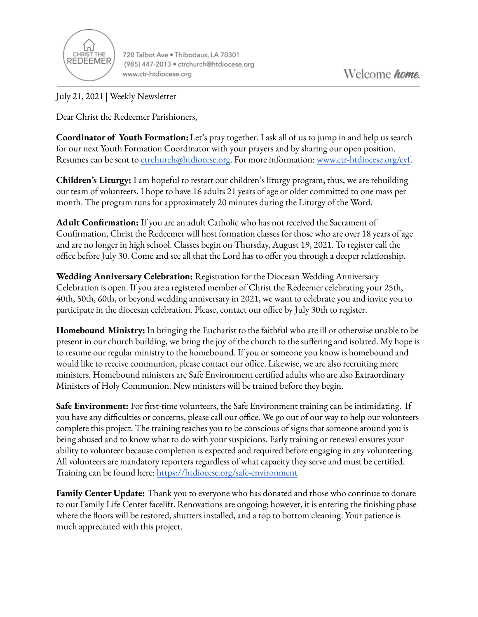

720 Talbot Ave . Thibodaux, LA 70301 (985) 447-2013 · ctrchurch@htdiocese.org www.ctr-htdiocese.org

July 21, 2021 | Weekly Newsletter

Dear Christ the Redeemer Parishioners,

**Coordinator of Youth Formation:**Let's pray together. I ask all of us to jump in and help us search for our next Youth Formation Coordinator with your prayers and by sharing our open position. Resumes can be sent to [ctrchurch@htdiocese.org.](mailto:ctrchurch@htdiocese.org) For more information: [www.ctr-htdiocese.org/cyf.](http://www.ctr-htdiocese.org/cyf)

**Children's Liturgy:** I am hopeful to restart our children's liturgy program; thus, we are rebuilding our team of volunteers. I hope to have 16 adults 21 years of age or older committed to one mass per month. The program runs for approximately 20 minutes during the Liturgy of the Word.

**Adult Confirmation:** If you are an adult Catholic who has not received the Sacrament of Confirmation, Christ the Redeemer will host formation classes for those who are over 18 years of age and are no longer in high school. Classes begin on Thursday, August 19, 2021. To register call the office before July 30. Come and see all that the Lord has to offer you through a deeper relationship.

**Wedding Anniversary Celebration:** Registration for the Diocesan Wedding Anniversary Celebration is open. If you are a registered member of Christ the Redeemer celebrating your 25th, 40th, 50th, 60th, or beyond wedding anniversary in 2021, we want to celebrate you and invite you to participate in the diocesan celebration. Please, contact our office by July 30th to register.

**Homebound Ministry:** In bringing the Eucharist to the faithful who are ill or otherwise unable to be present in our church building, we bring the joy of the church to the suffering and isolated. My hope is to resume our regular ministry to the homebound. If you or someone you know is homebound and would like to receive communion, please contact our office. Likewise, we are also recruiting more ministers. Homebound ministers are Safe Environment certified adults who are also Extraordinary Ministers of Holy Communion. New ministers will be trained before they begin.

**Safe Environment:** For first-time volunteers, the Safe Environment training can be intimidating. If you have any difficulties or concerns, please call our office. We go out of our way to help our volunteers complete this project. The training teaches you to be conscious of signs that someone around you is being abused and to know what to do with your suspicions. Early training or renewal ensures your ability to volunteer because completion is expected and required before engaging in any volunteering. All volunteers are mandatory reporters regardless of what capacity they serve and must be certified. Training can be found here: <https://htdiocese.org/safe-environment>

**Family Center Update:** Thank you to everyone who has donated and those who continue to donate to our Family Life Center facelift. Renovations are ongoing; however, it is entering the finishing phase where the floors will be restored, shutters installed, and a top to bottom cleaning. Your patience is much appreciated with this project.